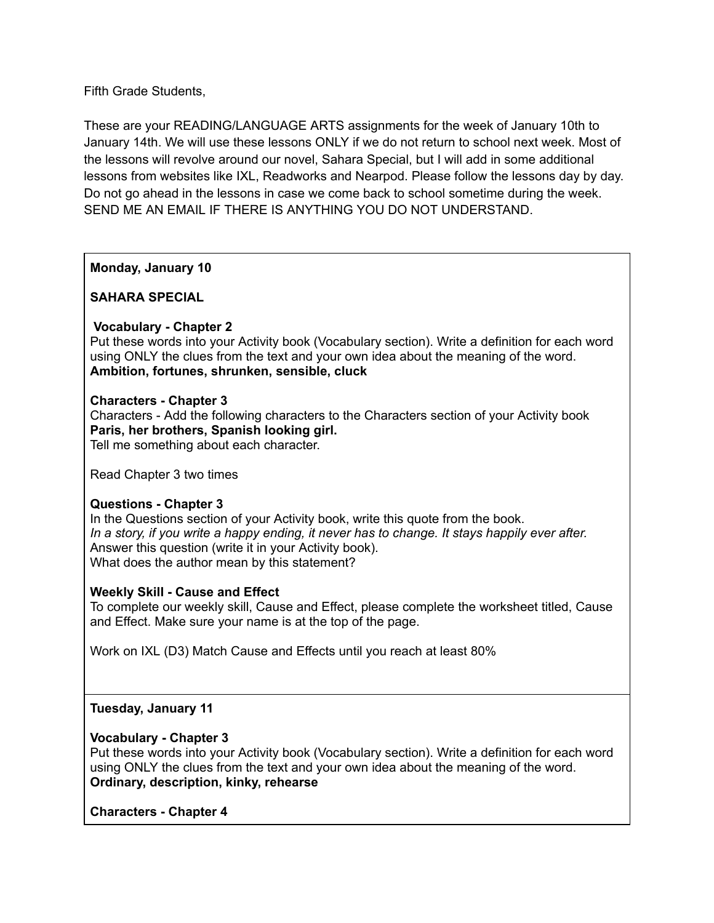Fifth Grade Students,

These are your READING/LANGUAGE ARTS assignments for the week of January 10th to January 14th. We will use these lessons ONLY if we do not return to school next week. Most of the lessons will revolve around our novel, Sahara Special, but I will add in some additional lessons from websites like IXL, Readworks and Nearpod. Please follow the lessons day by day. Do not go ahead in the lessons in case we come back to school sometime during the week. SEND ME AN EMAIL IF THERE IS ANYTHING YOU DO NOT UNDERSTAND.

**Monday, January 10**

**SAHARA SPECIAL**

# **Vocabulary - Chapter 2**

Put these words into your Activity book (Vocabulary section). Write a definition for each word using ONLY the clues from the text and your own idea about the meaning of the word. **Ambition, fortunes, shrunken, sensible, cluck**

## **Characters - Chapter 3**

Characters - Add the following characters to the Characters section of your Activity book **Paris, her brothers, Spanish looking girl.**

Tell me something about each character.

Read Chapter 3 two times

## **Questions - Chapter 3**

In the Questions section of your Activity book, write this quote from the book. In a story, if you write a happy ending, it never has to change. It stays happily ever after. Answer this question (write it in your Activity book). What does the author mean by this statement?

## **Weekly Skill - Cause and Effect**

To complete our weekly skill, Cause and Effect, please complete the worksheet titled, Cause and Effect. Make sure your name is at the top of the page.

Work on IXL (D3) Match Cause and Effects until you reach at least 80%

## **Tuesday, January 11**

## **Vocabulary - Chapter 3**

Put these words into your Activity book (Vocabulary section). Write a definition for each word using ONLY the clues from the text and your own idea about the meaning of the word. **Ordinary, description, kinky, rehearse**

**Characters - Chapter 4**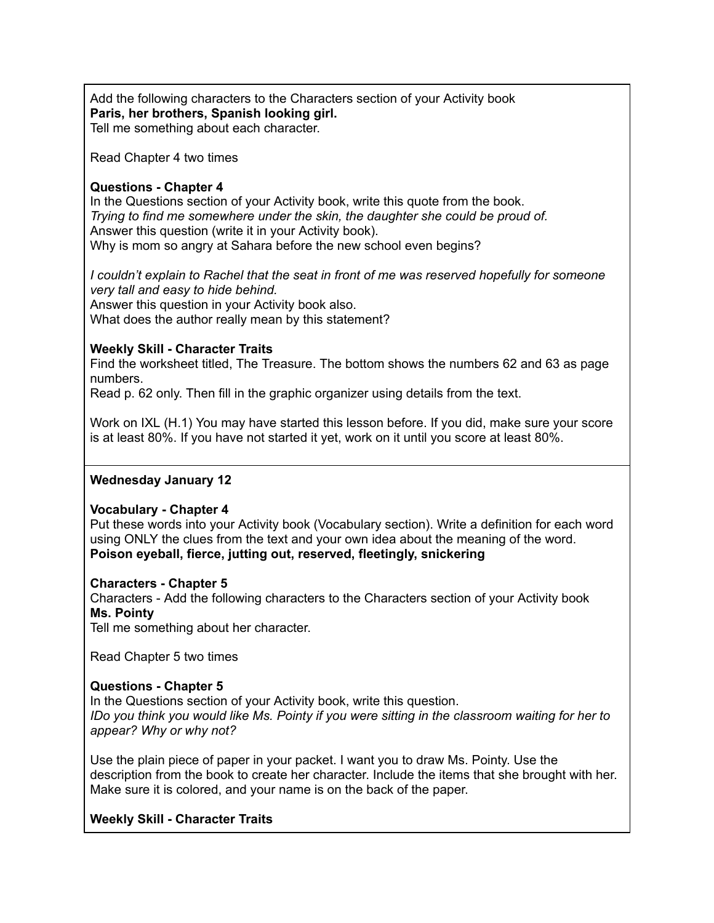Add the following characters to the Characters section of your Activity book **Paris, her brothers, Spanish looking girl.** Tell me something about each character.

Read Chapter 4 two times

#### **Questions - Chapter 4**

In the Questions section of your Activity book, write this quote from the book. *Trying to find me somewhere under the skin, the daughter she could be proud of.* Answer this question (write it in your Activity book). Why is mom so angry at Sahara before the new school even begins?

*I couldn't explain to Rachel that the seat in front of me was reserved hopefully for someone very tall and easy to hide behind.* Answer this question in your Activity book also. What does the author really mean by this statement?

#### **Weekly Skill - Character Traits**

Find the worksheet titled, The Treasure. The bottom shows the numbers 62 and 63 as page numbers.

Read p. 62 only. Then fill in the graphic organizer using details from the text.

Work on IXL (H.1) You may have started this lesson before. If you did, make sure your score is at least 80%. If you have not started it yet, work on it until you score at least 80%.

## **Wednesday January 12**

## **Vocabulary - Chapter 4**

Put these words into your Activity book (Vocabulary section). Write a definition for each word using ONLY the clues from the text and your own idea about the meaning of the word. **Poison eyeball, fierce, jutting out, reserved, fleetingly, snickering**

#### **Characters - Chapter 5**

Characters - Add the following characters to the Characters section of your Activity book **Ms. Pointy**

Tell me something about her character.

Read Chapter 5 two times

#### **Questions - Chapter 5**

In the Questions section of your Activity book, write this question. IDo you think you would like Ms. Pointy if you were sitting in the classroom waiting for her to *appear? Why or why not?*

Use the plain piece of paper in your packet. I want you to draw Ms. Pointy. Use the description from the book to create her character. Include the items that she brought with her. Make sure it is colored, and your name is on the back of the paper.

## **Weekly Skill - Character Traits**